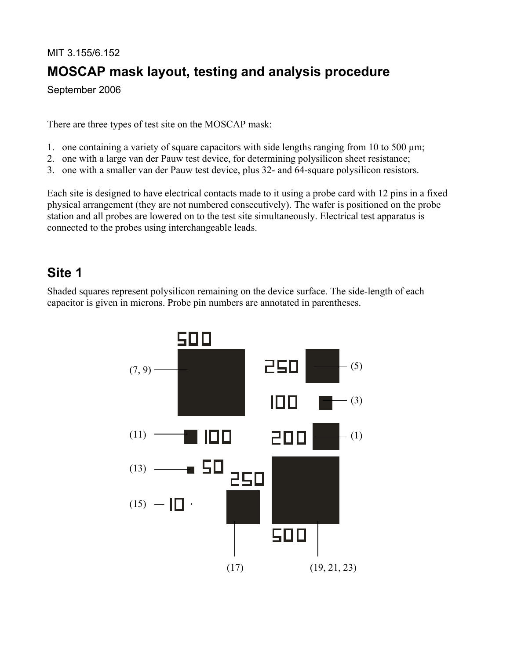# MIT 3.155/6.152 **MOSCAP mask layout, testing and analysis procedure**

September 2006

There are three types of test site on the MOSCAP mask:

- 1. one containing a variety of square capacitors with side lengths ranging from 10 to 500 μm;
- 2. one with a large van der Pauw test device, for determining polysilicon sheet resistance;
- 3. one with a smaller van der Pauw test device, plus 32- and 64-square polysilicon resistors.

Each site is designed to have electrical contacts made to it using a probe card with 12 pins in a fixed physical arrangement (they are not numbered consecutively). The wafer is positioned on the probe station and all probes are lowered on to the test site simultaneously. Electrical test apparatus is connected to the probes using interchangeable leads.

#### **Site 1**

Shaded squares represent polysilicon remaining on the device surface. The side-length of each capacitor is given in microns. Probe pin numbers are annotated in parentheses.

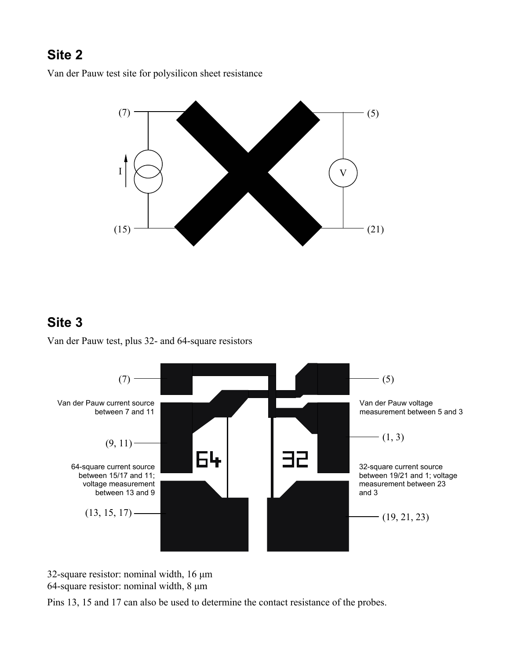### **Site 2**

Van der Pauw test site for polysilicon sheet resistance



### **Site 3**

Van der Pauw test, plus 32- and 64-square resistors



32-square resistor: nominal width, 16 μm 64-square resistor: nominal width, 8 μm

Pins 13, 15 and 17 can also be used to determine the contact resistance of the probes.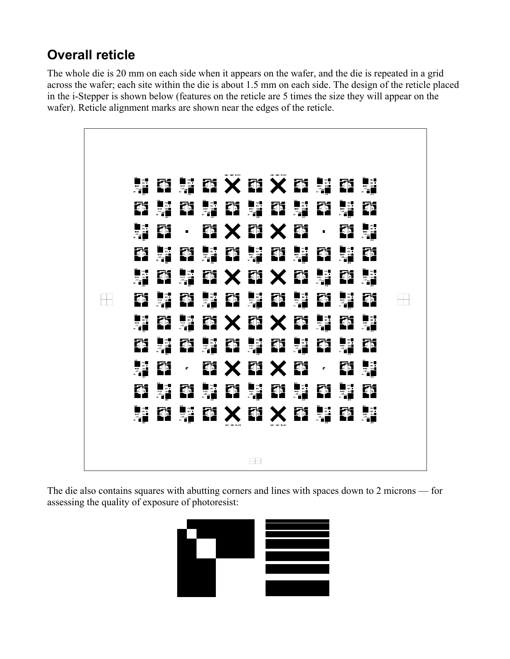## **Overall reticle**

The whole die is 20 mm on each side when it appears on the wafer, and the die is repeated in a grid across the wafer; each site within the die is about 1.5 mm on each side. The design of the reticle placed in the i-Stepper is shown below (features on the reticle are 5 times the size they will appear on the wafer). Reticle alignment marks are shown near the edges of the reticle.



The die also contains squares with abutting corners and lines with spaces down to 2 microns — for assessing the quality of exposure of photoresist:

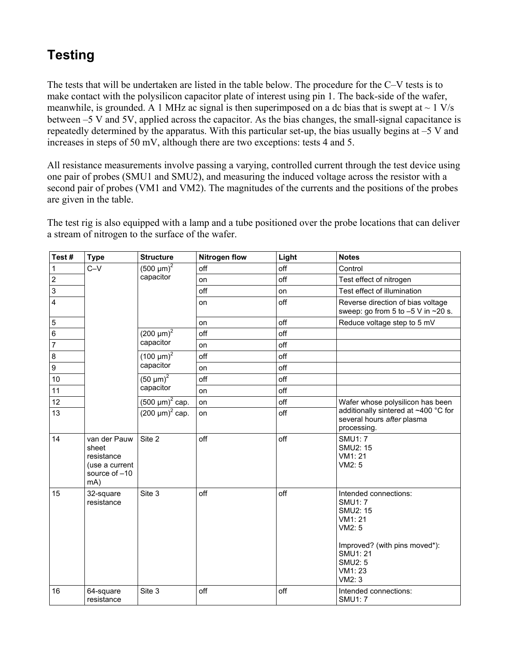## **Testing**

The tests that will be undertaken are listed in the table below. The procedure for the C–V tests is to make contact with the polysilicon capacitor plate of interest using pin 1. The back-side of the wafer, meanwhile, is grounded. A 1 MHz ac signal is then superimposed on a dc bias that is swept at  $\sim 1$  V/s between –5 V and 5V, applied across the capacitor. As the bias changes, the small-signal capacitance is repeatedly determined by the apparatus. With this particular set-up, the bias usually begins at –5 V and increases in steps of 50 mV, although there are two exceptions: tests 4 and 5.

All resistance measurements involve passing a varying, controlled current through the test device using one pair of probes (SMU1 and SMU2), and measuring the induced voltage across the resistor with a second pair of probes (VM1 and VM2). The magnitudes of the currents and the positions of the probes are given in the table.

The test rig is also equipped with a lamp and a tube positioned over the probe locations that can deliver a stream of nitrogen to the surface of the wafer.

| Test#       | <b>Type</b>                                                                   | <b>Structure</b>                                                                                        | <b>Nitrogen flow</b> | Light | <b>Notes</b>                                                                                                                                                             |
|-------------|-------------------------------------------------------------------------------|---------------------------------------------------------------------------------------------------------|----------------------|-------|--------------------------------------------------------------------------------------------------------------------------------------------------------------------------|
| 1           | $C-V$                                                                         | $(500 \mu m)^2$<br>capacitor                                                                            | off                  | off   | Control                                                                                                                                                                  |
| $\mathbf 2$ |                                                                               |                                                                                                         | on                   | off   | Test effect of nitrogen                                                                                                                                                  |
| 3           |                                                                               |                                                                                                         | off                  | on    | Test effect of illumination                                                                                                                                              |
| 4           |                                                                               |                                                                                                         | on                   | off   | Reverse direction of bias voltage<br>sweep: go from 5 to $-5$ V in $\sim$ 20 s.                                                                                          |
| $\mathbf 5$ |                                                                               |                                                                                                         | on                   | off   | Reduce voltage step to 5 mV                                                                                                                                              |
| 6           |                                                                               | $(200 \mu m)^2$<br>capacitor                                                                            | off                  | off   |                                                                                                                                                                          |
| 7           |                                                                               |                                                                                                         | on                   | off   |                                                                                                                                                                          |
| 8           |                                                                               | $(100 \mu m)^2$<br>capacitor                                                                            | off                  | off   |                                                                                                                                                                          |
| 9           |                                                                               |                                                                                                         | on                   | off   |                                                                                                                                                                          |
| 10          |                                                                               | $(50 \text{ }\mu\text{m})^2$<br>capacitor<br>$(500 \text{ }\mu\text{m})^2$ cap.<br>$(200 \mu m)^2$ cap. | off                  | off   |                                                                                                                                                                          |
| 11          |                                                                               |                                                                                                         | on                   | off   |                                                                                                                                                                          |
| 12          |                                                                               |                                                                                                         | on                   | off   | Wafer whose polysilicon has been<br>additionally sintered at ~400 °C for<br>several hours after plasma<br>processing.                                                    |
| 13          |                                                                               |                                                                                                         | on                   | off   |                                                                                                                                                                          |
| 14          | van der Pauw<br>sheet<br>resistance<br>(use a current<br>source of -10<br>mA) | Site 2                                                                                                  | off                  | off   | <b>SMU1:7</b><br><b>SMU2: 15</b><br>VM1: 21<br>VM2: 5                                                                                                                    |
| 15          | 32-square<br>resistance                                                       | Site 3                                                                                                  | off                  | off   | Intended connections:<br><b>SMU1: 7</b><br><b>SMU2: 15</b><br>VM1: 21<br>VM2: 5<br>Improved? (with pins moved*):<br><b>SMU1:21</b><br><b>SMU2: 5</b><br>VM1:23<br>VM2: 3 |
| 16          | 64-square<br>resistance                                                       | Site 3                                                                                                  | off                  | off   | Intended connections:<br><b>SMU1:7</b>                                                                                                                                   |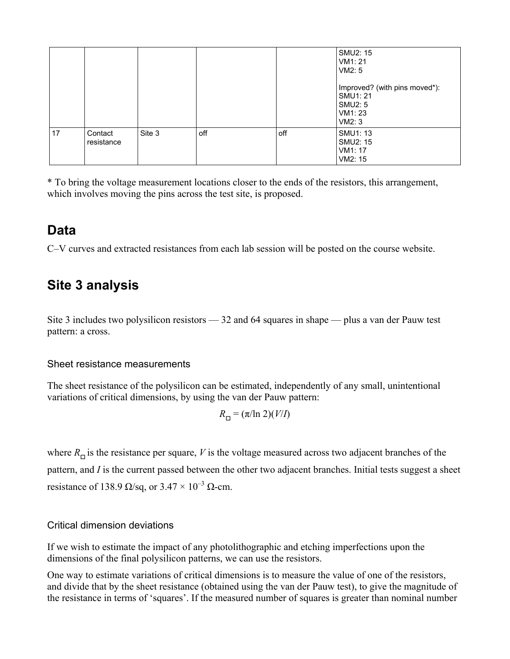|    |                       |        |     |     | SMU2: 15<br>VM1: 21<br>VM2:5                                             |
|----|-----------------------|--------|-----|-----|--------------------------------------------------------------------------|
|    |                       |        |     |     | Improved? (with pins moved*):<br>SMU1: 21<br>SMU2: 5<br>VM1: 23<br>VM2:3 |
| 17 | Contact<br>resistance | Site 3 | off | off | SMU1: 13<br>SMU2: 15<br>VM1: 17<br>VM2: 15                               |

\* To bring the voltage measurement locations closer to the ends of the resistors, this arrangement, which involves moving the pins across the test site, is proposed.

#### **Data**

C–V curves and extracted resistances from each lab session will be posted on the course website.

### **Site 3 analysis**

Site 3 includes two polysilicon resistors — 32 and 64 squares in shape — plus a van der Pauw test pattern: a cross.

#### Sheet resistance measurements

The sheet resistance of the polysilicon can be estimated, independently of any small, unintentional variations of critical dimensions, by using the van der Pauw pattern:

$$
R_{\square} = (\pi/\ln 2)(V/I)
$$

where  $R_{\Box}$  is the resistance per square, *V* is the voltage measured across two adjacent branches of the pattern, and *I* is the current passed between the other two adjacent branches. Initial tests suggest a sheet resistance of 138.9  $\Omega$ /sq, or 3.47 × 10<sup>-3</sup>  $\Omega$ -cm.

#### Critical dimension deviations

If we wish to estimate the impact of any photolithographic and etching imperfections upon the dimensions of the final polysilicon patterns, we can use the resistors.

One way to estimate variations of critical dimensions is to measure the value of one of the resistors, and divide that by the sheet resistance (obtained using the van der Pauw test), to give the magnitude of the resistance in terms of 'squares'. If the measured number of squares is greater than nominal number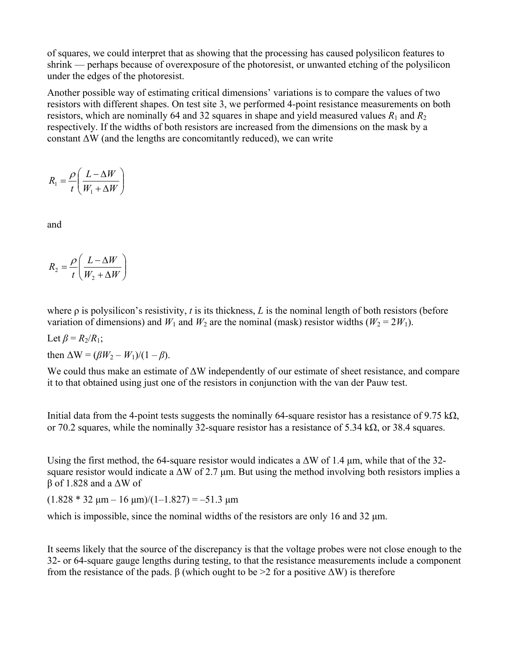of squares, we could interpret that as showing that the processing has caused polysilicon features to shrink — perhaps because of overexposure of the photoresist, or unwanted etching of the polysilicon under the edges of the photoresist.

Another possible way of estimating critical dimensions' variations is to compare the values of two resistors with different shapes. On test site 3, we performed 4-point resistance measurements on both resistors, which are nominally 64 and 32 squares in shape and yield measured values  $R_1$  and  $R_2$ respectively. If the widths of both resistors are increased from the dimensions on the mask by a constant  $\Delta W$  (and the lengths are concomitantly reduced), we can write

$$
R_1 = \frac{\rho}{t} \left( \frac{L - \Delta W}{W_1 + \Delta W} \right)
$$

and

$$
R_2 = \frac{\rho}{t} \left( \frac{L - \Delta W}{W_2 + \Delta W} \right)
$$

where ρ is polysilicon's resistivity, *t* is its thickness, *L* is the nominal length of both resistors (before variation of dimensions) and  $W_1$  and  $W_2$  are the nominal (mask) resistor widths ( $W_2 = 2W_1$ ).

Let  $\beta = R_2/R_1$ ; then  $\Delta W = (\beta W_2 - W_1)/(1 - \beta)$ .

We could thus make an estimate of ΔW independently of our estimate of sheet resistance, and compare it to that obtained using just one of the resistors in conjunction with the van der Pauw test.

Initial data from the 4-point tests suggests the nominally 64-square resistor has a resistance of 9.75 kΩ, or 70.2 squares, while the nominally 32-square resistor has a resistance of 5.34 k $\Omega$ , or 38.4 squares.

Using the first method, the 64-square resistor would indicates a  $\Delta W$  of 1.4  $\mu$ m, while that of the 32square resistor would indicate a  $\Delta W$  of 2.7 µm. But using the method involving both resistors implies a β of 1.828 and a ΔW of

 $(1.828 * 32 \text{ µm} - 16 \text{ µm})/(1 - 1.827) = -51.3 \text{ µm}$ 

which is impossible, since the nominal widths of the resistors are only 16 and 32 μm.

It seems likely that the source of the discrepancy is that the voltage probes were not close enough to the 32- or 64-square gauge lengths during testing, to that the resistance measurements include a component from the resistance of the pads. β (which ought to be >2 for a positive ΔW) is therefore